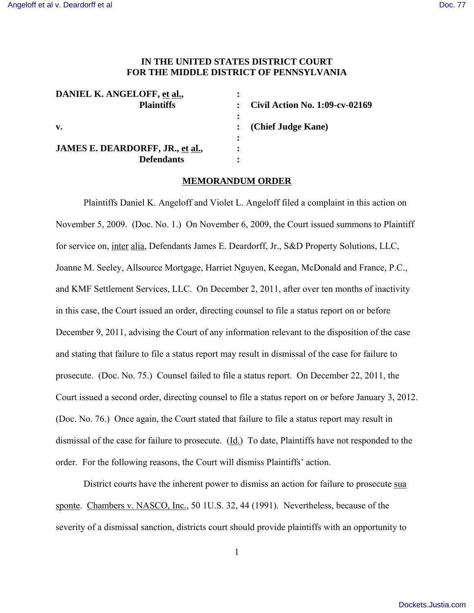## **IN THE UNITED STATES DISTRICT COURT FOR THE MIDDLE DISTRICT OF PENNSYLVANIA**

| DANIEL K. ANGELOFF, et al.,      |                                 |
|----------------------------------|---------------------------------|
| <b>Plaintiffs</b>                | Civil Action No. 1:09-cv-02169  |
|                                  |                                 |
| $\mathbf{v}$ .                   | $\therefore$ (Chief Judge Kane) |
|                                  |                                 |
| JAMES E. DEARDORFF, JR., et al., |                                 |
| <b>Defendants</b>                |                                 |

## **MEMORANDUM ORDER**

Plaintiffs Daniel K. Angeloff and Violet L. Angeloff filed a complaint in this action on November 5, 2009. (Doc. No. 1.) On November 6, 2009, the Court issued summons to Plaintiff for service on, inter alia, Defendants James E. Deardorff, Jr., S&D Property Solutions, LLC, Joanne M. Seeley, Allsource Mortgage, Harriet Nguyen, Keegan, McDonald and France, P.C., and KMF Settlement Services, LLC. On December 2, 2011, after over ten months of inactivity in this case, the Court issued an order, directing counsel to file a status report on or before December 9, 2011, advising the Court of any information relevant to the disposition of the case and stating that failure to file a status report may result in dismissal of the case for failure to prosecute. (Doc. No. 75.) Counsel failed to file a status report. On December 22, 2011, the Court issued a second order, directing counsel to file a status report on or before January 3, 2012. (Doc. No. 76.) Once again, the Court stated that failure to file a status report may result in dismissal of the case for failure to prosecute.  $(\underline{Id})$  To date, Plaintiffs have not responded to the order. For the following reasons, the Court will dismiss Plaintiffs' action.

District courts have the inherent power to dismiss an action for failure to prosecute sua sponte. Chambers v. NASCO, Inc., 50 1U.S. 32, 44 (1991). Nevertheless, because of the severity of a dismissal sanction, districts court should provide plaintiffs with an opportunity to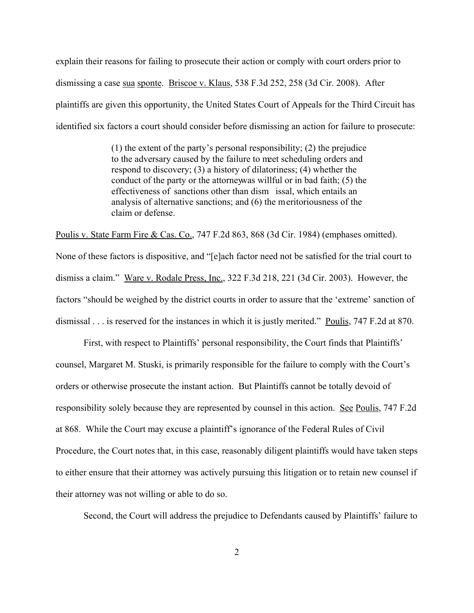explain their reasons for failing to prosecute their action or comply with court orders prior to dismissing a case sua sponte. Briscoe v. Klaus, 538 F.3d 252, 258 (3d Cir. 2008). After plaintiffs are given this opportunity, the United States Court of Appeals for the Third Circuit has identified six factors a court should consider before dismissing an action for failure to prosecute:

> (1) the extent of the party's personal responsibility; (2) the prejudice to the adversary caused by the failure to meet scheduling orders and respond to discovery; (3) a history of dilatoriness; (4) whether the conduct of the party or the attorney was will ful or in bad faith;  $(5)$  the effectiveness of sanctions other than dism issal, which entails an analysis of alternative sanctions; and (6) the meritoriousness of the claim or defense.

Poulis v. State Farm Fire & Cas. Co., 747 F.2d 863, 868 (3d Cir. 1984) (emphases omitted). None of these factors is dispositive, and "[e]ach factor need not be satisfied for the trial court to dismiss a claim." Ware v. Rodale Press, Inc., 322 F.3d 218, 221 (3d Cir. 2003). However, the factors "should be weighed by the district courts in order to assure that the 'extreme' sanction of dismissal . . . is reserved for the instances in which it is justly merited." Poulis, 747 F.2d at 870.

First, with respect to Plaintiffs' personal responsibility, the Court finds that Plaintiffs' counsel, Margaret M. Stuski, is primarily responsible for the failure to comply with the Court's orders or otherwise prosecute the instant action. But Plaintiffs cannot be totally devoid of responsibility solely because they are represented by counsel in this action. See Poulis, 747 F.2d at 868. While the Court may excuse a plaintiff's ignorance of the Federal Rules of Civil Procedure, the Court notes that, in this case, reasonably diligent plaintiffs would have taken steps to either ensure that their attorney was actively pursuing this litigation or to retain new counsel if their attorney was not willing or able to do so.

Second, the Court will address the prejudice to Defendants caused by Plaintiffs' failure to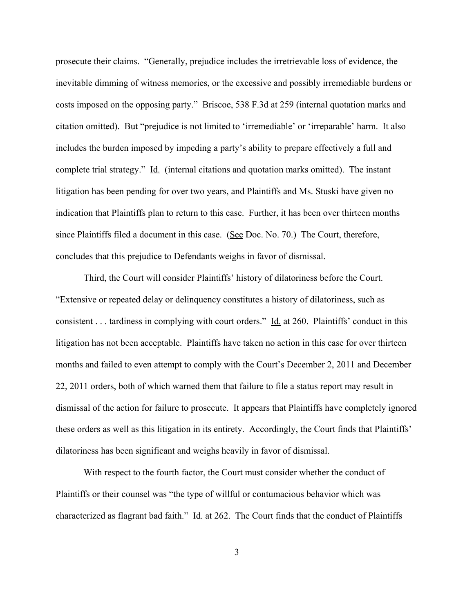prosecute their claims. "Generally, prejudice includes the irretrievable loss of evidence, the inevitable dimming of witness memories, or the excessive and possibly irremediable burdens or costs imposed on the opposing party." Briscoe, 538 F.3d at 259 (internal quotation marks and citation omitted). But "prejudice is not limited to 'irremediable' or 'irreparable' harm. It also includes the burden imposed by impeding a party's ability to prepare effectively a full and complete trial strategy." Id. (internal citations and quotation marks omitted). The instant litigation has been pending for over two years, and Plaintiffs and Ms. Stuski have given no indication that Plaintiffs plan to return to this case. Further, it has been over thirteen months since Plaintiffs filed a document in this case. (See Doc. No. 70.) The Court, therefore, concludes that this prejudice to Defendants weighs in favor of dismissal.

Third, the Court will consider Plaintiffs' history of dilatoriness before the Court. "Extensive or repeated delay or delinquency constitutes a history of dilatoriness, such as consistent . . . tardiness in complying with court orders." Id. at 260. Plaintiffs' conduct in this litigation has not been acceptable. Plaintiffs have taken no action in this case for over thirteen months and failed to even attempt to comply with the Court's December 2, 2011 and December 22, 2011 orders, both of which warned them that failure to file a status report may result in dismissal of the action for failure to prosecute. It appears that Plaintiffs have completely ignored these orders as well as this litigation in its entirety. Accordingly, the Court finds that Plaintiffs' dilatoriness has been significant and weighs heavily in favor of dismissal.

With respect to the fourth factor, the Court must consider whether the conduct of Plaintiffs or their counsel was "the type of willful or contumacious behavior which was characterized as flagrant bad faith." Id. at 262. The Court finds that the conduct of Plaintiffs

3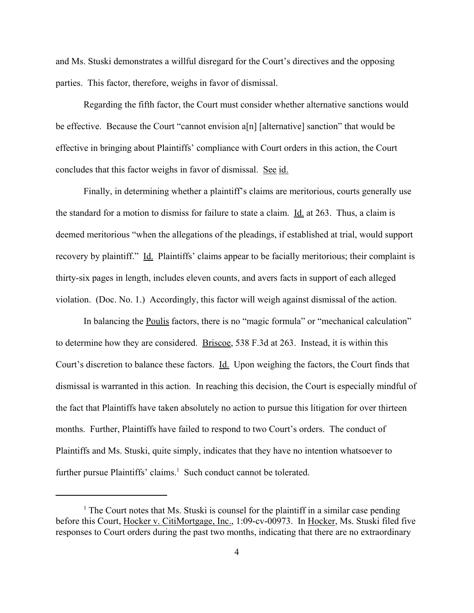and Ms. Stuski demonstrates a willful disregard for the Court's directives and the opposing parties. This factor, therefore, weighs in favor of dismissal.

Regarding the fifth factor, the Court must consider whether alternative sanctions would be effective. Because the Court "cannot envision a[n] [alternative] sanction" that would be effective in bringing about Plaintiffs' compliance with Court orders in this action, the Court concludes that this factor weighs in favor of dismissal. See id.

Finally, in determining whether a plaintiff's claims are meritorious, courts generally use the standard for a motion to dismiss for failure to state a claim. Id. at 263. Thus, a claim is deemed meritorious "when the allegations of the pleadings, if established at trial, would support recovery by plaintiff." Id. Plaintiffs' claims appear to be facially meritorious; their complaint is thirty-six pages in length, includes eleven counts, and avers facts in support of each alleged violation. (Doc. No. 1.) Accordingly, this factor will weigh against dismissal of the action.

In balancing the Poulis factors, there is no "magic formula" or "mechanical calculation" to determine how they are considered. Briscoe, 538 F.3d at 263. Instead, it is within this Court's discretion to balance these factors. Id. Upon weighing the factors, the Court finds that dismissal is warranted in this action. In reaching this decision, the Court is especially mindful of the fact that Plaintiffs have taken absolutely no action to pursue this litigation for over thirteen months. Further, Plaintiffs have failed to respond to two Court's orders. The conduct of Plaintiffs and Ms. Stuski, quite simply, indicates that they have no intention whatsoever to further pursue Plaintiffs' claims.<sup>1</sup> Such conduct cannot be tolerated.

<sup>&</sup>lt;sup>1</sup> The Court notes that Ms. Stuski is counsel for the plaintiff in a similar case pending before this Court, Hocker v. CitiMortgage, Inc., 1:09-cv-00973. In Hocker, Ms. Stuski filed five responses to Court orders during the past two months, indicating that there are no extraordinary